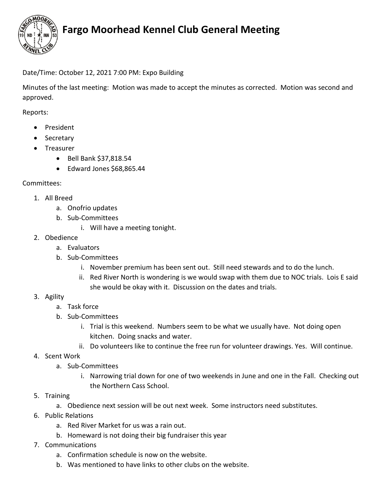

# **Fargo Moorhead Kennel Club General Meeting**

### Date/Time: October 12, 2021 7:00 PM: Expo Building

Minutes of the last meeting: Motion was made to accept the minutes as corrected. Motion was second and approved.

Reports:

- President
- Secretary
- Treasurer
	- Bell Bank \$37,818.54
	- Edward Jones \$68,865.44

#### Committees:

- 1. All Breed
	- a. Onofrio updates
	- b. Sub-Committees
		- i. Will have a meeting tonight.
- 2. Obedience
	- a. Evaluators
	- b. Sub-Committees
		- i. November premium has been sent out. Still need stewards and to do the lunch.
		- ii. Red River North is wondering is we would swap with them due to NOC trials. Lois E said she would be okay with it. Discussion on the dates and trials.
- 3. Agility
	- a. Task force
	- b. Sub-Committees
		- i. Trial is this weekend. Numbers seem to be what we usually have. Not doing open kitchen. Doing snacks and water.
		- ii. Do volunteers like to continue the free run for volunteer drawings. Yes. Will continue.
- 4. Scent Work
	- a. Sub-Committees
		- i. Narrowing trial down for one of two weekends in June and one in the Fall. Checking out the Northern Cass School.
- 5. Training
	- a. Obedience next session will be out next week. Some instructors need substitutes.
- 6. Public Relations
	- a. Red River Market for us was a rain out.
	- b. Homeward is not doing their big fundraiser this year
- 7. Communications
	- a. Confirmation schedule is now on the website.
	- b. Was mentioned to have links to other clubs on the website.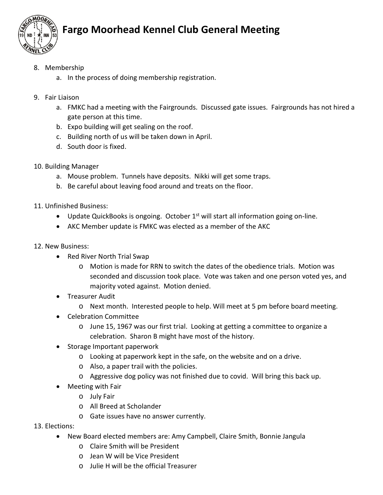

# **Fargo Moorhead Kennel Club General Meeting**

- 8. Membership
	- a. In the process of doing membership registration.
- 9. Fair Liaison
	- a. FMKC had a meeting with the Fairgrounds. Discussed gate issues. Fairgrounds has not hired a gate person at this time.
	- b. Expo building will get sealing on the roof.
	- c. Building north of us will be taken down in April.
	- d. South door is fixed.
- 10. Building Manager
	- a. Mouse problem. Tunnels have deposits. Nikki will get some traps.
	- b. Be careful about leaving food around and treats on the floor.
- 11. Unfinished Business:
	- Update QuickBooks is ongoing. October 1<sup>st</sup> will start all information going on-line.
	- AKC Member update is FMKC was elected as a member of the AKC
- 12. New Business:
	- Red River North Trial Swap
		- o Motion is made for RRN to switch the dates of the obedience trials. Motion was seconded and discussion took place. Vote was taken and one person voted yes, and majority voted against. Motion denied.
	- Treasurer Audit
		- o Next month. Interested people to help. Will meet at 5 pm before board meeting.
	- Celebration Committee
		- o June 15, 1967 was our first trial. Looking at getting a committee to organize a celebration. Sharon B might have most of the history.
	- Storage Important paperwork
		- o Looking at paperwork kept in the safe, on the website and on a drive.
		- o Also, a paper trail with the policies.
		- o Aggressive dog policy was not finished due to covid. Will bring this back up.
	- Meeting with Fair
		- o July Fair
		- o All Breed at Scholander
		- o Gate issues have no answer currently.
- 13. Elections:
	- New Board elected members are: Amy Campbell, Claire Smith, Bonnie Jangula
		- o Claire Smith will be President
		- o Jean W will be Vice President
		- $\circ$  Julie H will be the official Treasurer